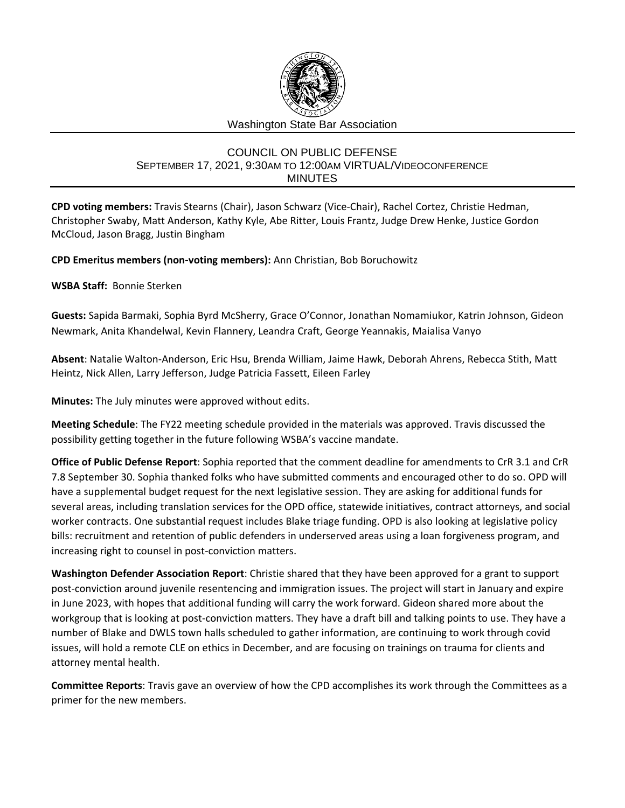

## COUNCIL ON PUBLIC DEFENSE SEPTEMBER 17, 2021, 9:30AM TO 12:00AM VIRTUAL/VIDEOCONFERENCE MINUTES

**CPD voting members:** Travis Stearns (Chair), Jason Schwarz (Vice-Chair), Rachel Cortez, Christie Hedman, Christopher Swaby, Matt Anderson, Kathy Kyle, Abe Ritter, Louis Frantz, Judge Drew Henke, Justice Gordon McCloud, Jason Bragg, Justin Bingham

**CPD Emeritus members (non-voting members):** Ann Christian, Bob Boruchowitz

**WSBA Staff:** Bonnie Sterken

**Guests:** Sapida Barmaki, Sophia Byrd McSherry, Grace O'Connor, Jonathan Nomamiukor, Katrin Johnson, Gideon Newmark, Anita Khandelwal, Kevin Flannery, Leandra Craft, George Yeannakis, Maialisa Vanyo

**Absent**: Natalie Walton-Anderson, Eric Hsu, Brenda William, Jaime Hawk, Deborah Ahrens, Rebecca Stith, Matt Heintz, Nick Allen, Larry Jefferson, Judge Patricia Fassett, Eileen Farley

**Minutes:** The July minutes were approved without edits.

**Meeting Schedule**: The FY22 meeting schedule provided in the materials was approved. Travis discussed the possibility getting together in the future following WSBA's vaccine mandate.

**Office of Public Defense Report**: Sophia reported that the comment deadline for amendments to CrR 3.1 and CrR 7.8 September 30. Sophia thanked folks who have submitted comments and encouraged other to do so. OPD will have a supplemental budget request for the next legislative session. They are asking for additional funds for several areas, including translation services for the OPD office, statewide initiatives, contract attorneys, and social worker contracts. One substantial request includes Blake triage funding. OPD is also looking at legislative policy bills: recruitment and retention of public defenders in underserved areas using a loan forgiveness program, and increasing right to counsel in post-conviction matters.

**Washington Defender Association Report**: Christie shared that they have been approved for a grant to support post-conviction around juvenile resentencing and immigration issues. The project will start in January and expire in June 2023, with hopes that additional funding will carry the work forward. Gideon shared more about the workgroup that is looking at post-conviction matters. They have a draft bill and talking points to use. They have a number of Blake and DWLS town halls scheduled to gather information, are continuing to work through covid issues, will hold a remote CLE on ethics in December, and are focusing on trainings on trauma for clients and attorney mental health.

**Committee Reports**: Travis gave an overview of how the CPD accomplishes its work through the Committees as a primer for the new members.